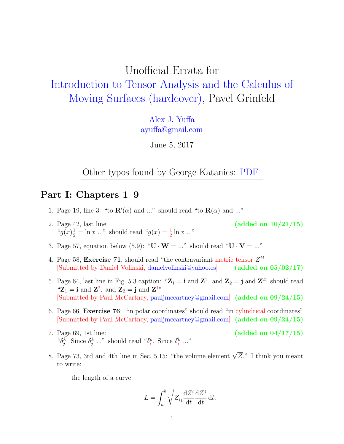# Unofficial Errata for [Introduction to Tensor Analysis and the Calculus of](http://www.amazon.com/Introduction-Tensor-Analysis-Calculus-Surfaces/dp/1461478669) [Moving Surfaces \(hardcover\),](http://www.amazon.com/Introduction-Tensor-Analysis-Calculus-Surfaces/dp/1461478669) Pavel Grinfeld

[Alex J. Yuffa](http://mesoscopic.mines.edu/~ayuffa/) [ayuffa@gmail.com](mailto:ayuffa@gmail.com)

June 5, 2017

Other typos found by George Katanics: [PDF](http://alexyuffa.com/Miscellaneous/errata_Grinfeld_by_Katanics.pdf)

### Part I: Chapters 1–9

- 1. Page 19, line 3: "to  $\mathbf{R}'(\alpha)$  and ..." should read "to  $\mathbf{R}(\alpha)$  and ..."
- 2. Page 42, last line:  $(added \text{ on } 10/21/15)$ " $g(x) \frac{1}{2} = \ln x$  ..." should read " $g(x) = \frac{1}{2} \ln x$  ..."
- 3. Page 57, equation below (5.9): " $\mathbf{U} \cdot \mathbf{W} = ...$ " should read " $\mathbf{U} \cdot \mathbf{V} = ...$ "
- 4. Page 58, Exercise 71, should read "the contravariant metric tensor  $Z^{ij}$ [Submitted by Daniel Volinski, [danielvolinski@yahoo.es\]](mailto:danielvolinski@yahoo.es) (added on 05/02/17)
- 5. Page 64, last line in Fig. 5.3 caption: " $\mathbb{Z}_1 = \mathbf{i}$  and  $\mathbb{Z}^1$ . and  $\mathbb{Z}_2 = \mathbf{j}$  and  $\mathbb{Z}^{2n}$  should read " $\mathbf{Z}_1 = \mathbf{i}$  and  $\mathbf{Z}^2$ . and  $\mathbf{Z}_2 = \mathbf{j}$  and  $\mathbf{Z}^{1}$ " [Submitted by Paul McCartney, [pauljmccartney@gmail.com\]](mailto:pauljmccartney@gmail.com) (added on 09/24/15)
- 6. Page 66, Exercise 76: "in polar coordinates" should read "in cylindrical coordinates" [Submitted by Paul McCartney, [pauljmccartney@gmail.com\]](mailto:pauljmccartney@gmail.com) (added on 09/24/15)
- 7. Page 69, 1st line:  $(added on 04/17/15)$ " $\delta_j^k$ . Since  $\delta_j^k$  ..." should read " $\delta_i^k$ . Since  $\delta_i^k$  ..."
- 8. Page 73, 3rd and 4th line in Sec. 5.15: "the volume element  $\sqrt{Z}$ ." I think you meant to write:

the length of a curve

$$
L = \int_{a}^{b} \sqrt{Z_{ij} \frac{\mathrm{d}Z^{i}}{\mathrm{d}t} \frac{\mathrm{d}Z^{j}}{\mathrm{d}t}} \, \mathrm{d}t.
$$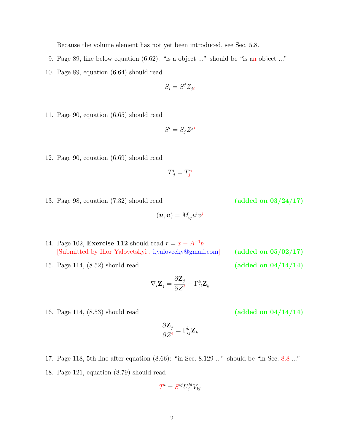Because the volume element has not yet been introduced, see Sec. 5.8.

- 9. Page 89, line below equation (6.62): "is a object ..." should be "is an object ..."
- 10. Page 89, equation (6.64) should read
	- $S_i = S^j Z_{ji}$
- 11. Page 90, equation (6.65) should read
- $S^i = S_j Z^{ji}$
- 12. Page 90, equation (6.69) should read
- $T^i_{\cdot j} = T^{\ i}_j$

 $(\boldsymbol{u},\boldsymbol{v})=M^{}_{ij}u^iv^j$ 

- 13. Page 98, equation  $(7.32)$  should read (added on  $03/24/17$ )
- 14. Page 102, Exercise 112 should read  $r = x A^{-1}b$ [Submitted by Ihor Yalovetskyi , [i.yalovecky@gmail.com\]](mailto:i.yalovecky@gmail.com) (added on 05/02/17)
- 15. Page 114, (8.52) should read (added on  $04/14/14$ )
	- $\nabla_i \mathbf{Z}_j =$  $\partial \mathbf{Z}_j$ ∂Z<sup>i</sup>  $-\,\Gamma_{ij}^k \mathbf{Z}_k$

 $= \Gamma_{ij}^k \mathbf{Z}_k$ 

- 16. Page 114, (8.53) should read (added on  $04/14/14$ )
- 17. Page 118, 5th line after equation (8.66): "in Sec. 8.129 ..." should be "in Sec. 8.8 ..."

 $\partial \mathbf{Z}_j$ ∂Z<sup>i</sup>

18. Page 121, equation (8.79) should read

$$
T^i = S^{ij} U^{kl}_j V_{kl}
$$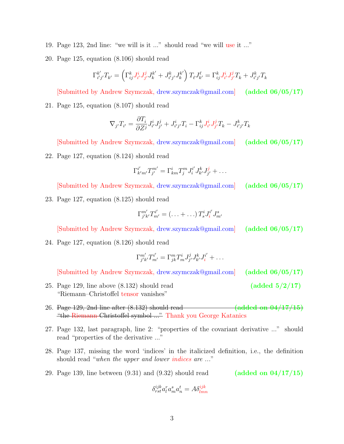- 19. Page 123, 2nd line: "we will is it ..." should read "we will use it ..."
- 20. Page 125, equation (8.106) should read

$$
\Gamma_{i'j'}^{k'} T_{k'} = \left( \Gamma_{ij}^k J_{i'}^i J_{j'}^j J_k^{k'} + J_{i'j'}^k J_k^{k'} \right) T_\ell J_{k'}^\ell = \Gamma_{ij}^k J_{i'}^i J_{j'}^j T_k + J_{i'j'}^k T_k
$$

[Submitted by Andrew Szymczak, [drew.szymczak@gmail.com\]](mailto:drew.szymczak@gmail.com) (added 06/05/17) 21. Page 125, equation (8.107) should read

$$
\nabla_{j'} T_{i'} = \frac{\partial T_i}{\partial Z^j} J_{i'}^i J_{j'}^j + J_{i'j'}^i T_i - \Gamma_{ij}^k J_{i'}^i J_{j'}^j T_k - J_{i'j'}^k T_k
$$

[Submitted by Andrew Szymczak, [drew.szymczak@gmail.com\]](mailto:drew.szymczak@gmail.com) (added 06/05/17)

22. Page 127, equation (8.124) should read

$$
\Gamma_{k'm'}^{i'} T_{j'}^{m'} = \Gamma_{km}^i T_j^m J_i^{i'} J_{k'}^k J_{j'}^j + \dots
$$

[Submitted by Andrew Szymczak, [drew.szymczak@gmail.com\]](mailto:drew.szymczak@gmail.com) (added 06/05/17)

23. Page 127, equation (8.125) should read

$$
\Gamma_{j'k'}^{m'} T_{m'}^{i'} = (\ldots + \ldots) T_s^i J_i^{i'} J_{m'}^s
$$

[Submitted by Andrew Szymczak, [drew.szymczak@gmail.com\]](mailto:drew.szymczak@gmail.com) (added 06/05/17)

24. Page 127, equation (8.126) should read

$$
\Gamma_{j'k'}^{m'} T_{m'}^{i'} = \Gamma_{jk}^m T_m^i J_{j'}^j J_{k'}^k J_i^{i'} + \dots
$$

[Submitted by Andrew Szymczak, [drew.szymczak@gmail.com\]](mailto:drew.szymczak@gmail.com) (added 06/05/17)

- 25. Page 129, line above  $(8.132)$  should read (added  $5/2/17$ ) "Riemann–Christoffel tensor vanishes"
- 26. Page 129, 2nd line after  $(8.132)$  should read  $\overline{\qquad}$   $\qquad$   $\qquad$   $\qquad$   $\qquad$   $\qquad$   $\qquad$   $\qquad$   $\qquad$   $\qquad$   $\qquad$   $\qquad$   $\qquad$   $\qquad$   $\qquad$   $\qquad$   $\qquad$   $\qquad$   $\qquad$   $\qquad$   $\qquad$   $\qquad$   $\qquad$   $\qquad$   $\qquad$   $\qquad$   $\qquad$   $\qquad$ "the Riemann-Christoffel symbol ..." Thank you George Katanics
- 27. Page 132, last paragraph, line 2: "properties of the covariant derivative ..." should read "properties of the derivative ..."
- 28. Page 137, missing the word 'indices' in the italicized definition, i.e., the definition should read "when the upper and lower indices are ..."
- 29. Page 139, line between  $(9.31)$  and  $(9.32)$  should read (added on  $04/17/15$ )

$$
\delta_{rst}^{ijk} a_l^r a_m^s a_n^t = A \delta_{lmn}^{ijk}
$$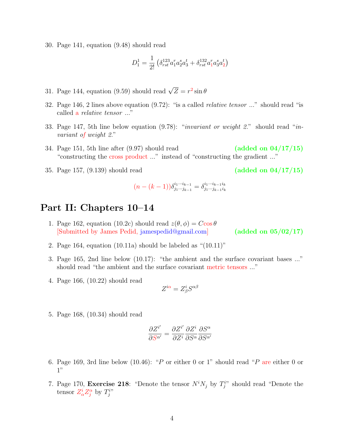30. Page 141, equation (9.48) should read

$$
D_1^1 = \frac{1}{2!} \left( \delta_{rst}^{123} a_1^r a_2^s a_3^t + \delta_{rst}^{132} a_1^r a_3^s a_2^t \right)
$$

- 31. Page 144, equation (9.59) should read  $\sqrt{Z} = r^2 \sin \theta$
- 32. Page 146, 2 lines above equation (9.72): "is a called relative tensor ..." should read "is called a relative tensor ..."
- 33. Page 147, 5th line below equation (9.78): "invariant or weight 2." should read "invariant of weight 2."
- 34. Page 151, 5th line after  $(9.97)$  should read (added on  $04/17/15$ ) "constructing the cross product ..." instead of "constructing the gradient ..."
- 35. Page 157,  $(9.139)$  should read (added on  $04/17/15$ )

$$
(n - (k - 1))\delta_{j_1 \cdots j_{k-1}}^{i_1 \cdots i_{k-1}} = \delta_{j_1 \cdots j_{k-1} i_k}^{i_1 \cdots i_{k-1} i_k}
$$

### Part II: Chapters 10–14

1. Page 162, equation (10.2c) should read  $z(\theta, \phi) = C \cos \theta$ [Submitted by James Pedid, [jamespedid@gmail.com\]](mailto:jamespedid@gmail.com) (added on 05/02/17)

- 2. Page 164, equation (10.11a) should be labeled as "(10.11)"
- 3. Page 165, 2nd line below (10.17): "the ambient and the surface covariant bases ..." should read "the ambient and the surface covariant metric tensors ..."
- 4. Page 166, (10.22) should read

$$
Z^{i\alpha} = Z^i_\beta S^{\alpha\beta}
$$

5. Page 168, (10.34) should read

$$
\frac{\partial Z^{i'}}{\partial S^{\alpha'}} = \frac{\partial Z^{i'}}{\partial Z^{i}} \frac{\partial Z^{i}}{\partial S^{\alpha}} \frac{\partial S^{\alpha}}{\partial S^{\alpha'}}
$$

- 6. Page 169, 3rd line below (10.46): "P or either 0 or 1" should read "P are either 0 or 1"
- 7. Page 170, **Exercise 218**: "Denote the tensor  $N^i N_j$  by  $T_j^{i}$ " should read "Denote the tensor  $Z^i_\alpha Z^\alpha_j$  by  $T^{i}_{j}$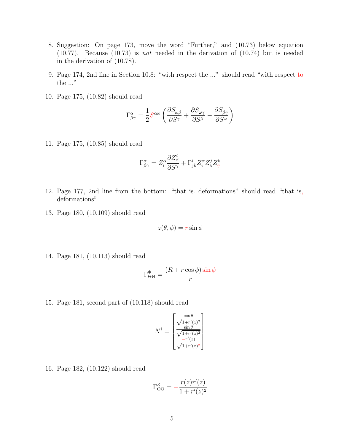- 8. Suggestion: On page 173, move the word "Further," and (10.73) below equation (10.77). Because (10.73) is not needed in the derivation of (10.74) but is needed in the derivation of (10.78).
- 9. Page 174, 2nd line in Section 10.8: "with respect the ..." should read "with respect to the ..."
- 10. Page 175, (10.82) should read

$$
\Gamma^\alpha_{\beta\gamma}=\frac{1}{2}S^{\alpha\omega}\left(\frac{\partial S_{\omega\beta}}{\partial S^\gamma}+\frac{\partial S_{\omega\gamma}}{\partial S^\beta}-\frac{\partial S_{\beta\gamma}}{\partial S^\omega}\right)
$$

11. Page 175, (10.85) should read

$$
\Gamma^\alpha_{\beta\gamma}=Z_i^\alpha \frac{\partial Z^i_\beta}{\partial S^\gamma}+\Gamma^i_{jk}Z_i^\alpha Z^j_\beta Z^k_\gamma
$$

- 12. Page 177, 2nd line from the bottom: "that is. deformations" should read "that is, deformations"
- 13. Page 180, (10.109) should read

$$
z(\theta, \phi) = r \sin \phi
$$

14. Page 181, (10.113) should read

$$
\Gamma^{\Phi}_{\Theta\Theta} = \frac{(R+r\cos\phi)\sin\phi}{r}
$$

15. Page 181, second part of (10.118) should read

$$
N^{i} = \begin{bmatrix} \frac{\cos \theta}{\sqrt{1 + r'(z)^{2}}} \\ \frac{\sin \theta}{\sqrt{1 + r'(z)^{2}}} \\ \frac{-r'(z)}{\sqrt{1 + r'(z)^{2}}} \end{bmatrix}
$$

16. Page 182, (10.122) should read

$$
\Gamma^Z_{\Theta\Theta} = -\frac{r(z)r'(z)}{1+r'(z)^2}
$$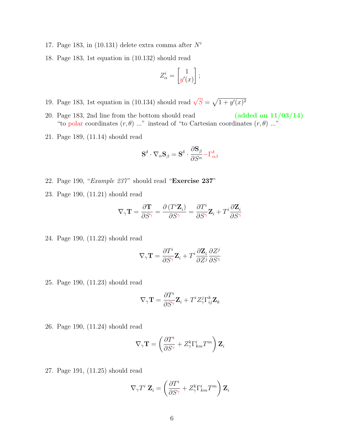- 17. Page 183, in (10.131) delete extra comma after  $N^i$
- 18. Page 183, 1st equation in (10.132) should read

$$
Z_{\alpha}^{i} = \begin{bmatrix} 1 \\ y'(x) \end{bmatrix};
$$

- 19. Page 183, 1st equation in (10.134) should read  $\sqrt{S} = \sqrt{1 + y'(x)^2}$
- 20. Page 183, 2nd line from the bottom should read  $(added on 11/03/14)$ "to polar coordinates  $(r, \theta)$  ..." instead of "to Cartesian coordinates  $(r, \theta)$  ..."
- 21. Page 189, (11.14) should read

$$
\mathbf{S}^\delta \cdot \nabla_\alpha \mathbf{S}_\beta = \mathbf{S}^\delta \cdot \frac{\partial \mathbf{S}_\beta}{\partial S^\alpha} {-} \Gamma^\delta_{\alpha \beta}
$$

- 22. Page 190, "Example 237" should read "Exercise 237"
- 23. Page 190, (11.21) should read

$$
\nabla_{\gamma} \mathbf{T} = \frac{\partial \mathbf{T}}{\partial S^{\gamma}} = \frac{\partial (T^i \mathbf{Z}_i)}{\partial S^{\gamma}} = \frac{\partial T^i}{\partial S^{\gamma}} \mathbf{Z}_i + T^i \frac{\partial \mathbf{Z}_i}{\partial S^{\gamma}}
$$

24. Page 190, (11.22) should read

$$
\nabla_{\gamma}\mathbf{T}=\frac{\partial T^{i}}{\partial S^{\gamma}}\mathbf{Z}_{i}+T^{i}\frac{\partial\mathbf{Z}_{i}}{\partial Z^{j}}\frac{\partial Z^{j}}{\partial S^{\gamma}}
$$

25. Page 190, (11.23) should read

$$
\nabla_{\gamma}\mathbf{T}=\frac{\partial T^i}{\partial S^{\gamma}}\mathbf{Z}_i+T^iZ_{\gamma}^j\Gamma_{ij}^k\mathbf{Z}_k
$$

26. Page 190, (11.24) should read

$$
\nabla_{\gamma} \mathbf{T} = \left( \frac{\partial T^i}{\partial S^{\gamma}} + Z^k_{\gamma} \Gamma^i_{km} T^m \right) \mathbf{Z}_i
$$

27. Page 191, (11.25) should read

$$
\nabla_{\gamma} T^i \mathbf{Z}_i = \left(\frac{\partial T^i}{\partial S^{\gamma}} + Z^k_{\gamma} \Gamma^i_{km} T^m\right) \mathbf{Z}_i
$$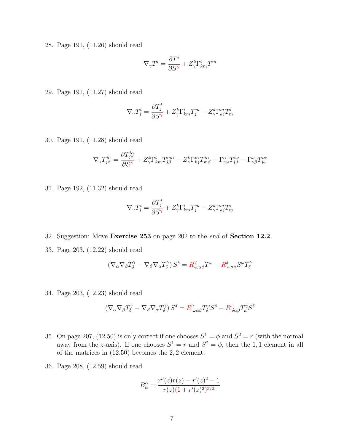28. Page 191, (11.26) should read

$$
\nabla_\gamma T^i = \frac{\partial T^i}{\partial S^\gamma} + Z_\gamma^k \Gamma_{km}^i T^m
$$

29. Page 191, (11.27) should read

$$
\nabla_{\gamma}T^i_j=\frac{\partial T^i_j}{\partial S^{\gamma}}+Z^k_{\gamma}\Gamma^i_{km}T^m_j-Z^k_{\gamma}\Gamma^m_{kj}T^i_m
$$

30. Page 191, (11.28) should read

$$
\nabla_{\gamma}T_{j\beta}^{i\alpha}=\frac{\partial T_{j\beta}^{i\alpha}}{\partial S^{\gamma}}+Z_{\gamma}^{k}\Gamma_{km}^{i}T_{j\beta}^{m\alpha}-Z_{\gamma}^{k}\Gamma_{kj}^{m}T_{m\beta}^{i\alpha}+\Gamma_{\gamma\omega}^{\alpha}T_{j\beta}^{i\omega}-\Gamma_{\gamma\beta}^{\omega}T_{j\omega}^{i\alpha}
$$

31. Page 192, (11.32) should read

$$
\nabla_{\gamma}T^i_j=\frac{\partial T^i_j}{\partial S^{\gamma}}+Z^k_{\gamma}\Gamma^i_{km}T^m_j-Z^k_{\gamma}\Gamma^m_{kj}T^i_m
$$

- 32. Suggestion: Move Exercise 253 on page 202 to the end of Section 12.2.
- 33. Page 203, (12.22) should read

$$
(\nabla_{\alpha}\nabla_{\beta}T^{\gamma}_{\delta}-\nabla_{\beta}\nabla_{\alpha}T^{\gamma}_{\delta})S^{\delta}=R^{\gamma}_{\cdot\omega\alpha\beta}T^{\omega}-R^{\delta}_{\cdot\omega\alpha\beta}S^{\omega}T^{\gamma}_{\delta}
$$

34. Page 203, (12.23) should read

$$
\left(\nabla_{\alpha}\nabla_{\beta}T_{\delta}^{\gamma}-\nabla_{\beta}\nabla_{\alpha}T_{\delta}^{\gamma}\right)S^{\delta}=R_{\cdot\omega\alpha\beta}^{\gamma}T_{\delta}^{\omega}S^{\delta}-R_{\cdot\delta\alpha\beta}^{\omega}T_{\omega}^{\gamma}S^{\delta}
$$

- 35. On page 207, (12.50) is only correct if one chooses  $S^1 = \phi$  and  $S^2 = r$  (with the normal away from the z-axis). If one chooses  $S^1 = r$  and  $S^2 = \phi$ , then the 1,1 element in all of the matrices in (12.50) becomes the 2, 2 element.
- 36. Page 208, (12.59) should read

$$
B_{\alpha}^{\alpha} = \frac{r''(z)r(z) - r'(z)^{2} - 1}{r(z)(1 + r'(z)^{2})^{3/2}}
$$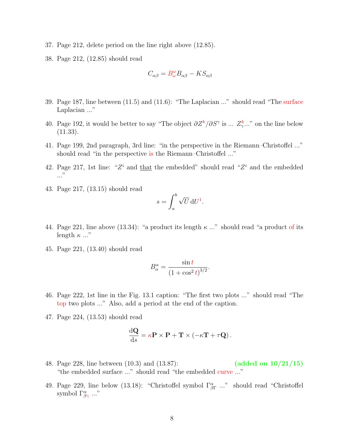- 37. Page 212, delete period on the line right above (12.85).
- 38. Page 212, (12.85) should read

$$
C_{\alpha\beta} = B^{\omega}_{\omega} B_{\alpha\beta} - K S_{\alpha\beta}
$$

- 39. Page 187, line between (11.5) and (11.6): "The Laplacian ..." should read "The surface Laplacian ..."
- 40. Page 192, it would be better to say "The object  $\partial Z^k/\partial S^{\gamma}$  is ...  $Z^k_{\gamma}$  on the line below  $(11.33)$ .
- 41. Page 199, 2nd paragraph, 3rd line: "in the perspective in the Riemann–Christoffel ..." should read "in the perspective is the Riemann–Christoffel ..."
- 42. Page 217, 1st line: " $Z<sup>i</sup>$  and that the embedded" should read " $Z<sup>i</sup>$  and the embedded ..."
- 43. Page 217, (13.15) should read

$$
s = \int_a^b \sqrt{U} \, \mathrm{d}U^1.
$$

- 44. Page 221, line above (13.34): "a product its length  $\kappa$  ..." should read "a product of its length  $\kappa$  ..."
- 45. Page 221, (13.40) should read

$$
B_{\alpha}^{\alpha} = \frac{\sin t}{\left(1 + \cos^2 t\right)^{3/2}}.
$$

- 46. Page 222, 1st line in the Fig. 13.1 caption: "The first two plots ..." should read "The top two plots ..." Also, add a period at the end of the caption.
- 47. Page 224, (13.53) should read

$$
\frac{\mathrm{d}\mathbf{Q}}{\mathrm{d}s} = \kappa \mathbf{P} \times \mathbf{P} + \mathbf{T} \times (-\kappa \mathbf{T} + \tau \mathbf{Q}).
$$

- 48. Page 228, line between (10.3) and (13.87): (added on 10/21/15) "the embedded surface ..." should read "the embedded curve ..."
- 49. Page 229, line below (13.18): "Christoffel symbol  $\Gamma^{\alpha}_{\beta\Gamma}$  ..." should read "Christoffel" symbol  $\Gamma^{\alpha}_{\beta\gamma}$  ..."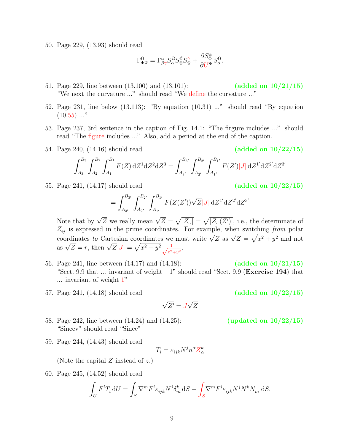50. Page 229, (13.93) should read

$$
\Gamma^{\Omega}_{\Phi\Psi}=\Gamma^{\alpha}_{\beta\gamma}S^{\Omega}_{\alpha}S^{\beta}_{\Phi}S^{\gamma}_{\Psi}+\frac{\partial S^{\alpha}_{\Phi}}{\partial U^{\Psi}}S^{\Omega}_{\alpha}.
$$

- 51. Page 229, line between (13.100) and (13.101): (added on 10/21/15) "We next the curvature ..." should read "We define the curvature ..."
- 52. Page 231, line below (13.113): "By equation (10.31) ..." should read "By equation  $(10.55)$  ..."
- 53. Page 237, 3rd sentence in the caption of Fig. 14.1: "The firgure includes ..." should read "The figure includes ..." Also, add a period at the end of the caption.
- 54. Page 240, (14.16) should read (added on 10/22/15)

$$
\int_{A_3}^{B_3} \int_{A_2}^{B_2} \int_{A_1}^{B_1} F(Z) dZ^1 dZ^2 dZ^3 = \int_{A_{3'}}^{B_{3'}} \int_{A_{2'}}^{B_{2'}} \int_{A_{1'}}^{B_{1'}} F(Z') |J| dZ^{1'} dZ^{2'} dZ^{3'}
$$

55. Page 241, (14.17) should read (added on 10/22/15)

$$
= \int_{A_{3'}}^{B_{3'}} \int_{A_{2'}}^{B_{2'}} \int_{A_{1'}}^{B_{1'}} F(Z(Z')) \sqrt{Z} |J| dZ^{1'} dZ^{2'} dZ^{3'}
$$

Note that by  $\sqrt{Z}$  we really mean  $\sqrt{Z} = \sqrt{|Z_{\cdot\cdot}|} = \sqrt{|Z_{\cdot\cdot}(Z')|}$ , i.e., the determinate of  $Z_{ij}$  is expressed in the prime coordinates. For example, when switching from polar  $z_{ij}$  is expressed in the prime coordinates. For example, when switching *from* point<br>coordinates to Cartesian coordinates we must write  $\sqrt{Z}$  as  $\sqrt{Z} = \sqrt{x^2 + y^2}$  and not<br>as  $\sqrt{Z} = r$ , then  $\sqrt{Z}|J| = \sqrt{x^2 + y^2} \frac{1}{\sqrt$  $\frac{1}{x^2+y^2}$ .

- 56. Page 241, line between (14.17) and (14.18): (added on 10/21/15) "Sect. 9.9 that  $\ldots$  invariant of weight  $-1$ " should read "Sect. 9.9 (**Exercise 194**) that ... invariant of weight 1"
- 57. Page 241, (14.18) should read (added on 10/22/15)

√  $Z'=J$ √ Z

- 58. Page 242, line between (14.24) and (14.25): (updated on 10/22/15) "Sincev" should read "Since"
- 59. Page 244, (14.43) should read

$$
T_i = \varepsilon_{ijk} N^j n^\alpha Z_\alpha^k
$$

(Note the capital  $Z$  instead of  $z$ .)

60. Page 245, (14.52) should read

$$
\int_U F^i T_i dU = \int_S \nabla^m F^i \varepsilon_{ijk} N^j \delta_m^k dS - \int_S \nabla^m F^i \varepsilon_{ijk} N^j N^k N_m dS.
$$